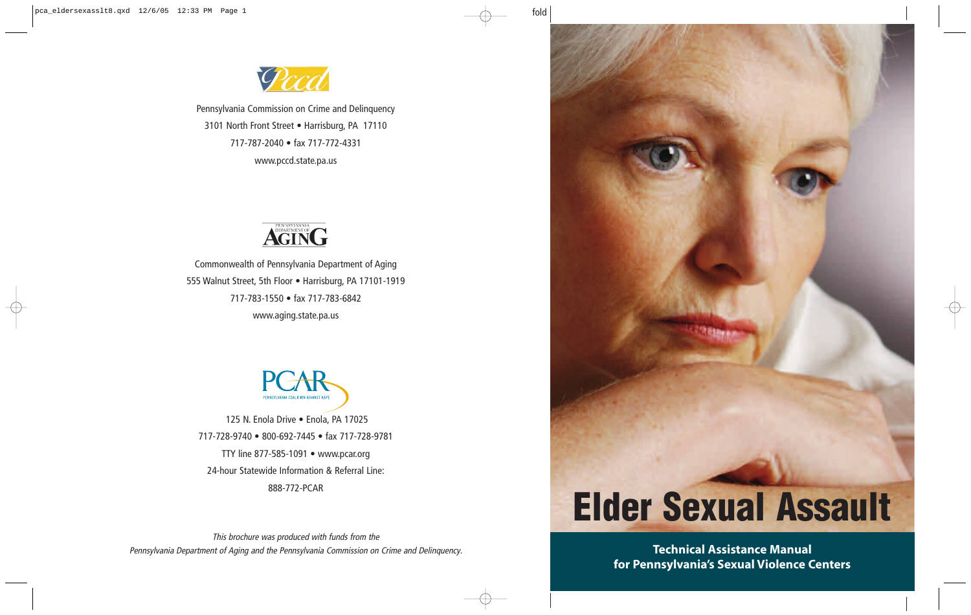

Pennsylvania Commission on Crime and Delinquency 3101 North Front Street • Harrisburg, PA 17110 717-787-2040 • fax 717-772-4331 www.pccd.state.pa.us



Commonwealth of Pennsylvania Department of Aging 555 Walnut Street, 5th Floor • Harrisburg, PA 17101-1919 717-783-1550 • fax 717-783-6842 www.aging.state.pa.us



125 N. Enola Drive · Enola, PA 17025 717-728-9740 • 800-692-7445 • fax 717-728-9781 TTY line 877-585-1091 • www.pcar.org 24-hour Statewide Information & Referral Line: 888-772-PCAR

This brochure was produced with funds from the Pennsylvania Department of Aging and the Pennsylvania Commission on Crime and Delinquency.



**Technical Assistance Manual for Pennsylvania's Sexual Violence Centers**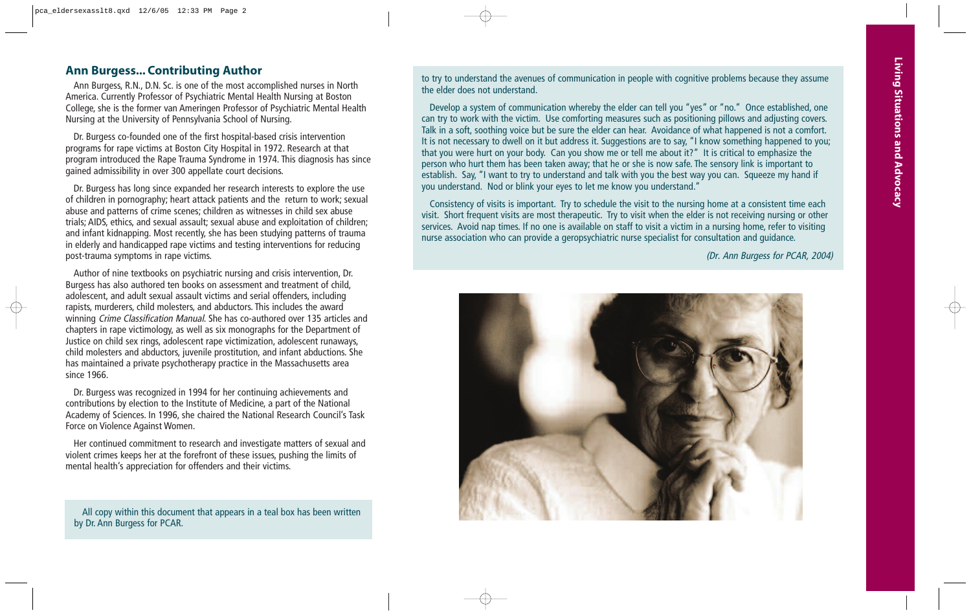# **Ann Burgess... Contributing Author**

Ann Burgess, R.N., D.N. Sc. is one of the most accomplished nurses in North America. Currently Professor of Psychiatric Mental Health Nursing at Boston College, she is the former van Ameringen Professor of Psychiatric Mental Health Nursing at the University of Pennsylvania School of Nursing.

Dr. Burgess co-founded one of the first hospital-based crisis intervention programs for rape victims at Boston City Hospital in 1972. Research at that program introduced the Rape Trauma Syndrome in 1974. This diagnosis has since gained admissibility in over 300 appellate court decisions.

Dr. Burgess has long since expanded her research interests to explore the use of children in pornography; heart attack patients and the return to work; sexual abuse and patterns of crime scenes; children as witnesses in child sex abuse trials; AIDS, ethics, and sexual assault; sexual abuse and exploitation of children; and infant kidnapping. Most recently, she has been studying patterns of trauma in elderly and handicapped rape victims and testing interventions for reducing post-trauma symptoms in rape victims.

Author of nine textbooks on psychiatric nursing and crisis intervention, Dr. Burgess has also authored ten books on assessment and treatment of child, adolescent, and adult sexual assault victims and serial offenders, including rapists, murderers, child molesters, and abductors. This includes the award winning Crime Classification Manual. She has co-authored over 135 articles and chapters in rape victimology, as well as six monographs for the Department of Justice on child sex rings, adolescent rape victimization, adolescent runaways, child molesters and abductors, juvenile prostitution, and infant abductions. She has maintained a private psychotherapy practice in the Massachusetts area since 1966.

Dr. Burgess was recognized in 1994 for her continuing achievements and contributions by election to the Institute of Medicine, a part of the National Academy of Sciences. In 1996, she chaired the National Research Council's Task Force on Violence Against Women.

Her continued commitment to research and investigate matters of sexual and violent crimes keeps her at the forefront of these issues, pushing the limits of mental health's appreciation for offenders and their victims.

All copy within this document that appears in a teal box has been written by Dr. Ann Burgess for PCAR.

to try to understand the avenues of communication in people with cognitive problems because they assume the elder does not understand.

Develop a system of communication whereby the elder can tell you "yes" or "no." Once established, one can try to work with the victim. Use comforting measures such as positioning pillows and adjusting covers. Talk in a soft, soothing voice but be sure the elder can hear. Avoidance of what happened is not a comfort. It is not necessary to dwell on it but address it. Suggestions are to say, "I know something happened to you; that you were hurt on your body. Can you show me or tell me about it?" It is critical to emphasize the person who hurt them has been taken away; that he or she is now safe. The sensory link is important to establish. Say, "I want to try to understand and talk with you the best way you can. Squeeze my hand if you understand. Nod or blink your eyes to let me know you understand."

Consistency of visits is important. Try to schedule the visit to the nursing home at a consistent time each visit. Short frequent visits are most therapeutic. Try to visit when the elder is not receiving nursing or other services. Avoid nap times. If no one is available on staff to visit a victim in a nursing home, refer to visiting nurse association who can provide a geropsychiatric nurse specialist for consultation and guidance.

(Dr. Ann Burgess for PCAR, 2004)

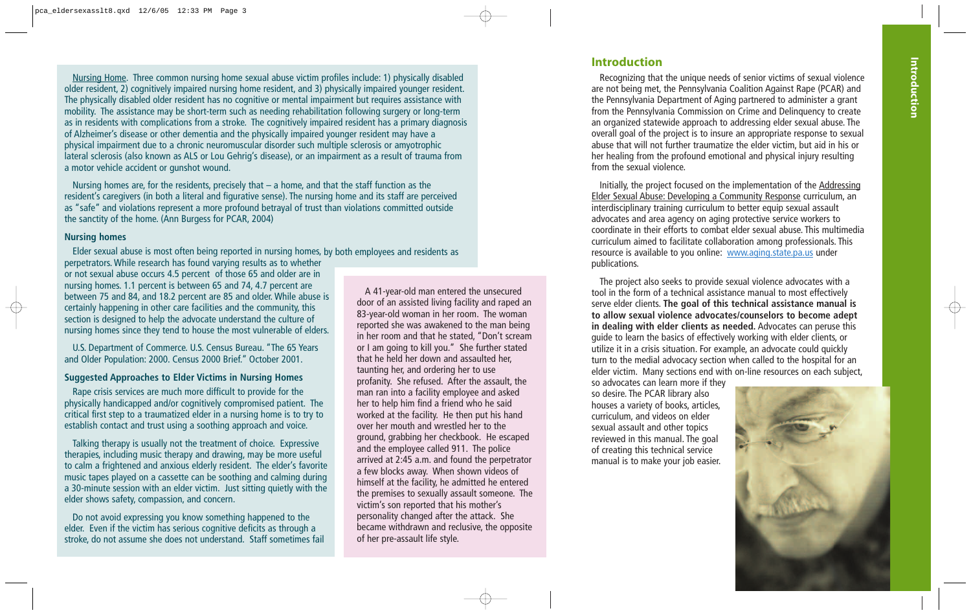Nursing Home. Three common nursing home sexual abuse victim profiles include: 1) physically disabled older resident, 2) cognitively impaired nursing home resident, and 3) physically impaired younger resident. The physically disabled older resident has no cognitive or mental impairment but requires assistance with mobility. The assistance may be short-term such as needing rehabilitation following surgery or long-term as in residents with complications from a stroke. The cognitively impaired resident has a primary diagnosis of Alzheimer's disease or other dementia and the physically impaired younger resident may have a physical impairment due to a chronic neuromuscular disorder such multiple sclerosis or amyotrophic lateral sclerosis (also known as ALS or Lou Gehrig's disease), or an impairment as a result of trauma from a motor vehicle accident or gunshot wound.

Nursing homes are, for the residents, precisely that  $-$  a home, and that the staff function as the resident's caregivers (in both a literal and figurative sense). The nursing home and its staff are perceived as "safe" and violations represent a more profound betrayal of trust than violations committed outside the sanctity of the home. (Ann Burgess for PCAR, 2004)

#### **Nursing homes**

Elder sexual abuse is most often being reported in nursing homes, by both employees and residents as

perpetrators. While research has found varying results as to whether or not sexual abuse occurs 4.5 percent of those 65 and older are in nursing homes. 1.1 percent is between 65 and 74, 4.7 percent are between 75 and 84, and 18.2 percent are 85 and older. While abuse is certainly happening in other care facilities and the community, this section is designed to help the advocate understand the culture of nursing homes since they tend to house the most vulnerable of elders.

U.S. Department of Commerce. U.S. Census Bureau. "The 65 Years and Older Population: 2000. Census 2000 Brief." October 2001.

#### **Suggested Approaches to Elder Victims in Nursing Homes**

Rape crisis services are much more difficult to provide for the physically handicapped and/or cognitively compromised patient. The critical first step to a traumatized elder in a nursing home is to try to establish contact and trust using a soothing approach and voice.

Talking therapy is usually not the treatment of choice. Expressive therapies, including music therapy and drawing, may be more useful to calm a frightened and anxious elderly resident. The elder's favorite music tapes played on a cassette can be soothing and calming during a 30-minute session with an elder victim. Just sitting quietly with the elder shows safety, compassion, and concern.

Do not avoid expressing you know something happened to the elder. Even if the victim has serious cognitive deficits as through a stroke, do not assume she does not understand. Staff sometimes fail

A 41-year-old man entered the unsecured door of an assisted living facility and raped an 83-year-old woman in her room. The woman reported she was awakened to the man being in her room and that he stated, "Don't scream or I am going to kill you." She further stated that he held her down and assaulted her, taunting her, and ordering her to use profanity. She refused. After the assault, the man ran into a facility employee and asked her to help him find a friend who he said worked at the facility. He then put his hand over her mouth and wrestled her to the ground, grabbing her checkbook. He escaped and the employee called 911. The police arrived at 2:45 a.m. and found the perpetrator a few blocks away. When shown videos of himself at the facility, he admitted he entered the premises to sexually assault someone. The victim's son reported that his mother's personality changed after the attack. She became withdrawn and reclusive, the opposite of her pre-assault life style.

## **Introduction**

Recognizing that the unique needs of senior victims of sexual violence are not being met, the Pennsylvania Coalition Against Rape (PCAR) and the Pennsylvania Department of Aging partnered to administer a grant from the Pennsylvania Commission on Crime and Delinquency to create an organized statewide approach to addressing elder sexual abuse. The overall goal of the project is to insure an appropriate response to sexual abuse that will not further traumatize the elder victim, but aid in his or her healing from the profound emotional and physical injury resulting from the sexual violence.

Initially, the project focused on the implementation of the Addressing Elder Sexual Abuse: Developing a Community Response curriculum, an interdisciplinary training curriculum to better equip sexual assault advocates and area agency on aging protective service workers to coordinate in their efforts to combat elder sexual abuse. This multimedia curriculum aimed to facilitate collaboration among professionals. This resource is available to you online: www.aging.state.pa.us under publications.

The project also seeks to provide sexual violence advocates with a tool in the form of a technical assistance manual to most effectively serve elder clients. **The goal of this technical assistance manual is to allow sexual violence advocates/counselors to become adept in dealing with elder clients as needed.** Advocates can peruse this guide to learn the basics of effectively working with elder clients, or utilize it in a crisis situation. For example, an advocate could quickly turn to the medial advocacy section when called to the hospital for an elder victim. Many sections end with on-line resources on each subject,

so advocates can learn more if they so desire. The PCAR library also houses a variety of books, articles, curriculum, and videos on elder sexual assault and other topics reviewed in this manual. The goal of creating this technical service manual is to make your job easier.

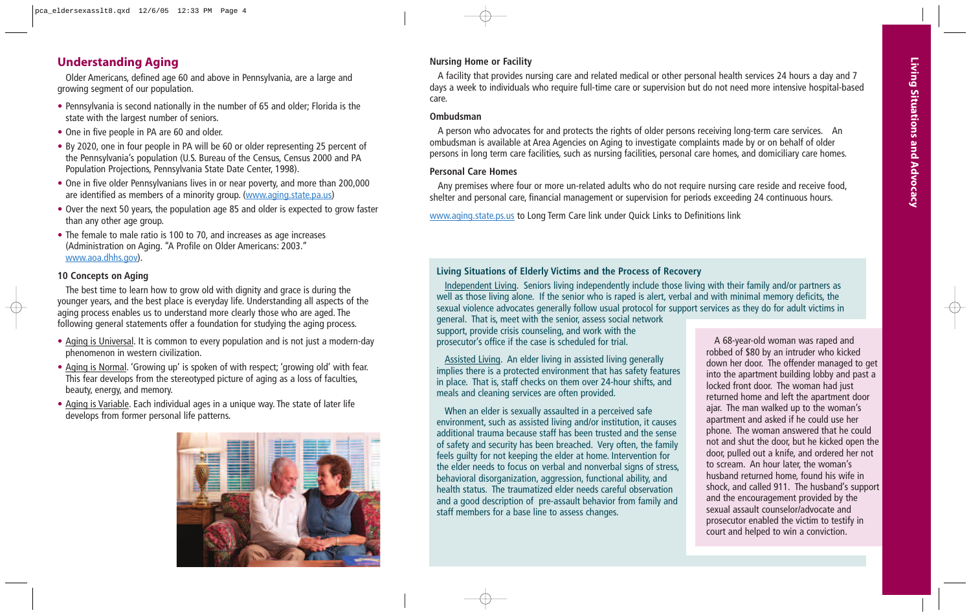# **Understanding Aging**

Older Americans, defined age 60 and above in Pennsylvania, are a large and growing segment of our population.

- Pennsylvania is second nationally in the number of 65 and older; Florida is the state with the largest number of seniors.
- One in five people in PA are 60 and older.
- By 2020, one in four people in PA will be 60 or older representing 25 percent of the Pennsylvania's population (U.S. Bureau of the Census, Census 2000 and PA Population Projections, Pennsylvania State Date Center, 1998).
- One in five older Pennsylvanians lives in or near poverty, and more than 200,000 are identified as members of a minority group. (www.aging.state.pa.us)
- Over the next 50 years, the population age 85 and older is expected to grow faster than any other age group.
- The female to male ratio is 100 to 70, and increases as age increases (Administration on Aging. "A Profile on Older Americans: 2003." www.aoa.dhhs.gov).

#### **10 Concepts on Aging**

The best time to learn how to grow old with dignity and grace is during the younger years, and the best place is everyday life. Understanding all aspects of the aging process enables us to understand more clearly those who are aged. The following general statements offer a foundation for studying the aging process.

- Aging is Universal. It is common to every population and is not just a modern-day phenomenon in western civilization.
- Aging is Normal. 'Growing up' is spoken of with respect; 'growing old' with fear. This fear develops from the stereotyped picture of aging as a loss of faculties, beauty, energy, and memory.
- Aging is Variable. Each individual ages in a unique way. The state of later life develops from former personal life patterns.



# **Nursing Home or Facility**

A facility that provides nursing care and related medical or other personal health services 24 hours a day and 7 days a week to individuals who require full-time care or supervision but do not need more intensive hospital-based care.

#### **Ombudsman**

A person who advocates for and protects the rights of older persons receiving long-term care services. An ombudsman is available at Area Agencies on Aging to investigate complaints made by or on behalf of older persons in long term care facilities, such as nursing facilities, personal care homes, and domiciliary care homes.

## **Personal Care Homes**

Any premises where four or more un-related adults who do not require nursing care reside and receive food, shelter and personal care, financial management or supervision for periods exceeding 24 continuous hours.

www.aging.state.ps.us to Long Term Care link under Quick Links to Definitions link

# **Living Situations of Elderly Victims and the Process of Recovery**

Independent Living. Seniors living independently include those living with their family and/or partners as well as those living alone. If the senior who is raped is alert, verbal and with minimal memory deficits, the sexual violence advocates generally follow usual protocol for support services as they do for adult victims in

general. That is, meet with the senior, assess social network support, provide crisis counseling, and work with the prosecutor's office if the case is scheduled for trial.

Assisted Living. An elder living in assisted living generally implies there is a protected environment that has safety features in place. That is, staff checks on them over 24-hour shifts, and meals and cleaning services are often provided.

When an elder is sexually assaulted in a perceived safe environment, such as assisted living and/or institution, it causes additional trauma because staff has been trusted and the sense of safety and security has been breached. Very often, the family feels guilty for not keeping the elder at home. Intervention for the elder needs to focus on verbal and nonverbal signs of stress, behavioral disorganization, aggression, functional ability, and health status. The traumatized elder needs careful observation and a good description of pre-assault behavior from family and staff members for a base line to assess changes.

A 68-year-old woman was raped and robbed of \$80 by an intruder who kicked down her door. The offender managed to get into the apartment building lobby and past a locked front door. The woman had just returned home and left the apartment door ajar. The man walked up to the woman's apartment and asked if he could use her phone. The woman answered that he could not and shut the door, but he kicked open the door, pulled out a knife, and ordered her not to scream. An hour later, the woman's husband returned home, found his wife in shock, and called 911. The husband's support and the encouragement provided by the sexual assault counselor/advocate and prosecutor enabled the victim to testify in court and helped to win a conviction.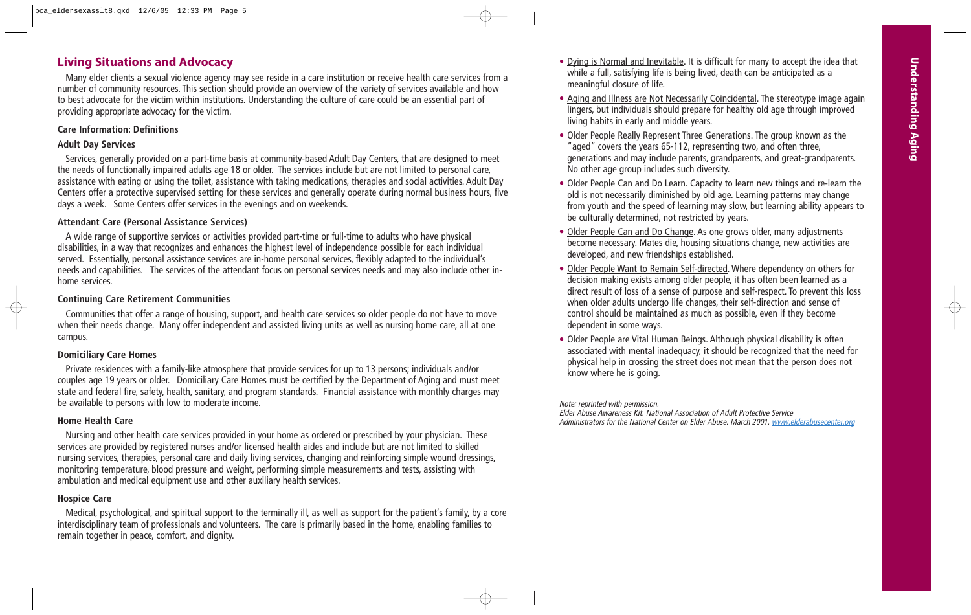# **Living Situations and Advocacy**

Many elder clients a sexual violence agency may see reside in a care institution or receive health care services from a number of community resources. This section should provide an overview of the variety of services available and how to best advocate for the victim within institutions. Understanding the culture of care could be an essential part of providing appropriate advocacy for the victim.

#### **Care Information: Definitions**

#### **Adult Day Services**

Services, generally provided on a part-time basis at community-based Adult Day Centers, that are designed to meet the needs of functionally impaired adults age 18 or older. The services include but are not limited to personal care, assistance with eating or using the toilet, assistance with taking medications, therapies and social activities. Adult Day Centers offer a protective supervised setting for these services and generally operate during normal business hours, five days a week. Some Centers offer services in the evenings and on weekends.

#### **Attendant Care (Personal Assistance Services)**

A wide range of supportive services or activities provided part-time or full-time to adults who have physical disabilities, in a way that recognizes and enhances the highest level of independence possible for each individual served. Essentially, personal assistance services are in-home personal services, flexibly adapted to the individual's needs and capabilities. The services of the attendant focus on personal services needs and may also include other inhome services.

#### **Continuing Care Retirement Communities**

Communities that offer a range of housing, support, and health care services so older people do not have to move when their needs change. Many offer independent and assisted living units as well as nursing home care, all at one campus.

#### **Domiciliary Care Homes**

Private residences with a family-like atmosphere that provide services for up to 13 persons; individuals and/or couples age 19 years or older. Domiciliary Care Homes must be certified by the Department of Aging and must meet state and federal fire, safety, health, sanitary, and program standards. Financial assistance with monthly charges may be available to persons with low to moderate income.

#### **Home Health Care**

Nursing and other health care services provided in your home as ordered or prescribed by your physician. These services are provided by registered nurses and/or licensed health aides and include but are not limited to skilled nursing services, therapies, personal care and daily living services, changing and reinforcing simple wound dressings, monitoring temperature, blood pressure and weight, performing simple measurements and tests, assisting with ambulation and medical equipment use and other auxiliary health services.

#### **Hospice Care**

Medical, psychological, and spiritual support to the terminally ill, as well as support for the patient's family, by a core interdisciplinary team of professionals and volunteers. The care is primarily based in the home, enabling families to remain together in peace, comfort, and dignity.

- Dying is Normal and Inevitable. It is difficult for many to accept the idea that while a full, satisfying life is being lived, death can be anticipated as a meaningful closure of life.
- Aging and Illness are Not Necessarily Coincidental. The stereotype image again lingers, but individuals should prepare for healthy old age through improved living habits in early and middle years.
- Older People Really Represent Three Generations. The group known as the "aged" covers the years 65-112, representing two, and often three, generations and may include parents, grandparents, and great-grandparents. No other age group includes such diversity.
- Older People Can and Do Learn. Capacity to learn new things and re-learn the old is not necessarily diminished by old age. Learning patterns may change from youth and the speed of learning may slow, but learning ability appears to be culturally determined, not restricted by years.
- Older People Can and Do Change. As one grows older, many adjustments become necessary. Mates die, housing situations change, new activities are developed, and new friendships established.
- Older People Want to Remain Self-directed. Where dependency on others for decision making exists among older people, it has often been learned as a direct result of loss of a sense of purpose and self-respect. To prevent this loss when older adults undergo life changes, their self-direction and sense of control should be maintained as much as possible, even if they become dependent in some ways.
- Older People are Vital Human Beings. Although physical disability is often associated with mental inadequacy, it should be recognized that the need for physical help in crossing the street does not mean that the person does not know where he is going.

Note: reprinted with permission. Elder Abuse Awareness Kit. National Association of Adult Protective Service Administrators for the National Center on Elder Abuse. March 2001. www.elderabusecenter.org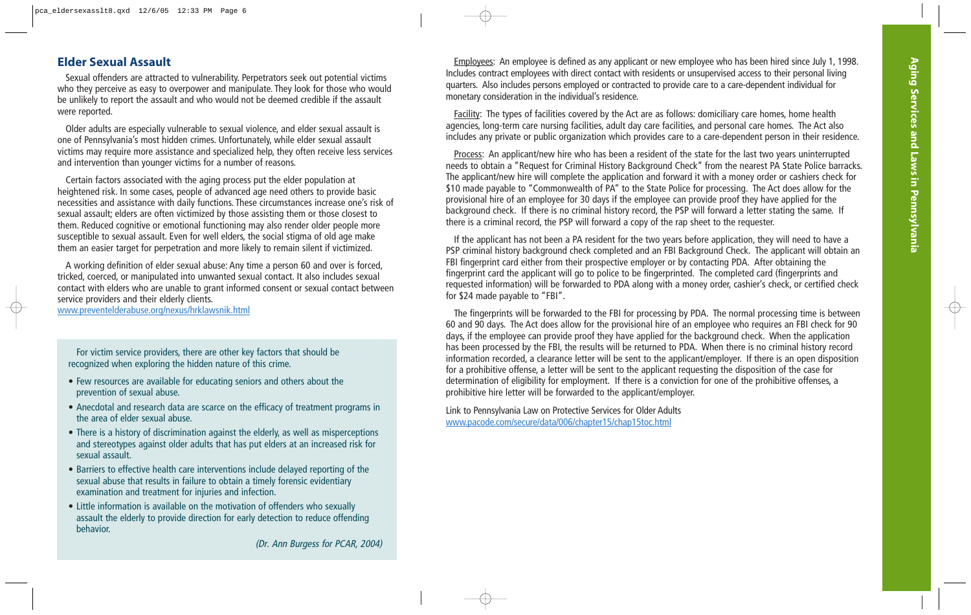# **Elder Sexual Assault**

Sexual offenders are attracted to vulnerability. Perpetrators seek out potential victims who they perceive as easy to overpower and manipulate. They look for those who would be unlikely to report the assault and who would not be deemed credible if the assault were reported.

Older adults are especially vulnerable to sexual violence, and elder sexual assault is one of Pennsylvania's most hidden crimes. Unfortunately, while elder sexual assault victims may require more assistance and specialized help, they often receive less services and intervention than younger victims for a number of reasons.

Certain factors associated with the aging process put the elder population at heightened risk. In some cases, people of advanced age need others to provide basic necessities and assistance with daily functions. These circumstances increase one's risk of sexual assault; elders are often victimized by those assisting them or those closest to them. Reduced cognitive or emotional functioning may also render older people more susceptible to sexual assault. Even for well elders, the social stigma of old age make them an easier target for perpetration and more likely to remain silent if victimized.

A working definition of elder sexual abuse: Any time a person 60 and over is forced, tricked, coerced, or manipulated into unwanted sexual contact. It also includes sexual contact with elders who are unable to grant informed consent or sexual contact between service providers and their elderly clients. www.preventelderabuse.org/nexus/hrklawsnik.html

For victim service providers, there are other key factors that should be recognized when exploring the hidden nature of this crime.

- Few resources are available for educating seniors and others about the prevention of sexual abuse.
- Anecdotal and research data are scarce on the efficacy of treatment programs in the area of elder sexual abuse.
- There is a history of discrimination against the elderly, as well as misperceptions and stereotypes against older adults that has put elders at an increased risk for sexual assault.
- Barriers to effective health care interventions include delayed reporting of the sexual abuse that results in failure to obtain a timely forensic evidentiary examination and treatment for injuries and infection.
- Little information is available on the motivation of offenders who sexually assault the elderly to provide direction for early detection to reduce offending behavior.

Employees: An employee is defined as any applicant or new employee who has been hired since July 1, 1998. Includes contract employees with direct contact with residents or unsupervised access to their personal living quarters. Also includes persons employed or contracted to provide care to a care-dependent individual for monetary consideration in the individual's residence.

Facility: The types of facilities covered by the Act are as follows: domiciliary care homes, home health agencies, long-term care nursing facilities, adult day care facilities, and personal care homes. The Act also includes any private or public organization which provides care to a care-dependent person in their residence.

Process: An applicant/new hire who has been a resident of the state for the last two years uninterrupted needs to obtain a "Request for Criminal History Background Check" from the nearest PA State Police barracks. The applicant/new hire will complete the application and forward it with a money order or cashiers check for \$10 made payable to "Commonwealth of PA" to the State Police for processing. The Act does allow for the provisional hire of an employee for 30 days if the employee can provide proof they have applied for the background check. If there is no criminal history record, the PSP will forward a letter stating the same. If there is a criminal record, the PSP will forward a copy of the rap sheet to the requester.

If the applicant has not been a PA resident for the two years before application, they will need to have a PSP criminal history background check completed and an FBI Background Check. The applicant will obtain an FBI fingerprint card either from their prospective employer or by contacting PDA. After obtaining the fingerprint card the applicant will go to police to be fingerprinted. The completed card (fingerprints and requested information) will be forwarded to PDA along with a money order, cashier's check, or certified check for \$24 made payable to "FBI".

The fingerprints will be forwarded to the FBI for processing by PDA. The normal processing time is between 60 and 90 days. The Act does allow for the provisional hire of an employee who requires an FBI check for 90 days, if the employee can provide proof they have applied for the background check. When the application has been processed by the FBI, the results will be returned to PDA. When there is no criminal history record information recorded, a clearance letter will be sent to the applicant/employer. If there is an open disposition for a prohibitive offense, a letter will be sent to the applicant requesting the disposition of the case for determination of eligibility for employment. If there is a conviction for one of the prohibitive offenses, a prohibitive hire letter will be forwarded to the applicant/employer.

Link to Pennsylvania Law on Protective Services for Older Adults www.pacode.com/secure/data/006/chapter15/chap15toc.html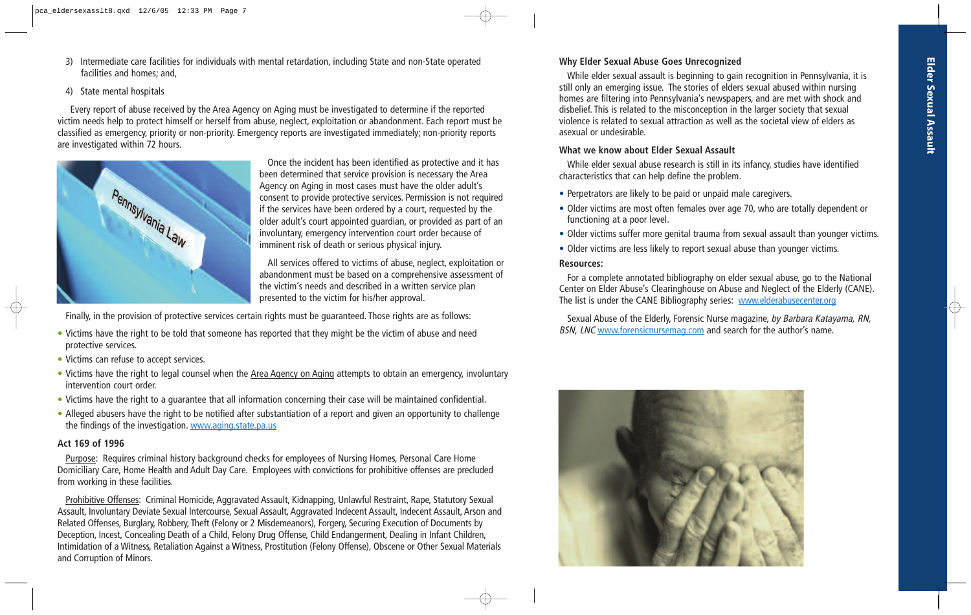3) Intermediate care facilities for individuals with mental retardation, including State and non-State operated facilities and homes; and,

#### 4) State mental hospitals

Every report of abuse received by the Area Agency on Aging must be investigated to determine if the reported victim needs help to protect himself or herself from abuse, neglect, exploitation or abandonment. Each report must be classified as emergency, priority or non-priority. Emergency reports are investigated immediately; non-priority reports are investigated within 72 hours.



Once the incident has been identified as protective and it has been determined that service provision is necessary the Area Agency on Aging in most cases must have the older adult's consent to provide protective services. Permission is not required if the services have been ordered by a court, requested by the older adult's court appointed guardian, or provided as part of an involuntary, emergency intervention court order because of imminent risk of death or serious physical injury.

All services offered to victims of abuse, neglect, exploitation or abandonment must be based on a comprehensive assessment of the victim's needs and described in a written service plan presented to the victim for his/her approval.

Finally, in the provision of protective services certain rights must be guaranteed. Those rights are as follows:

- Victims have the right to be told that someone has reported that they might be the victim of abuse and need protective services.
- Victims can refuse to accept services.
- Victims have the right to legal counsel when the Area Agency on Aging attempts to obtain an emergency, involuntary intervention court order.
- Victims have the right to a guarantee that all information concerning their case will be maintained confidential.
- Alleged abusers have the right to be notified after substantiation of a report and given an opportunity to challenge the findings of the investigation. www.aging.state.pa.us

#### **Act 169 of 1996**

Purpose: Requires criminal history background checks for employees of Nursing Homes, Personal Care Home Domiciliary Care, Home Health and Adult Day Care. Employees with convictions for prohibitive offenses are precluded from working in these facilities.

Prohibitive Offenses: Criminal Homicide, Aggravated Assault, Kidnapping, Unlawful Restraint, Rape, Statutory Sexual Assault, Involuntary Deviate Sexual Intercourse, Sexual Assault, Aggravated Indecent Assault, Indecent Assault, Arson and Related Offenses, Burglary, Robbery, Theft (Felony or 2 Misdemeanors), Forgery, Securing Execution of Documents by Deception, Incest, Concealing Death of a Child, Felony Drug Offense, Child Endangerment, Dealing in Infant Children, Intimidation of a Witness, Retaliation Against a Witness, Prostitution (Felony Offense), Obscene or Other Sexual Materials and Corruption of Minors.

# **Why Elder Sexual Abuse Goes Unrecognized**

While elder sexual assault is beginning to gain recognition in Pennsylvania, it is still only an emerging issue. The stories of elders sexual abused within nursing homes are filtering into Pennsylvania's newspapers, and are met with shock and disbelief. This is related to the misconception in the larger society that sexual violence is related to sexual attraction as well as the societal view of elders as asexual or undesirable.

#### **What we know about Elder Sexual Assault**

While elder sexual abuse research is still in its infancy, studies have identified characteristics that can help define the problem.

- Perpetrators are likely to be paid or unpaid male caregivers.
- Older victims are most often females over age 70, who are totally dependent or functioning at a poor level.
- Older victims suffer more genital trauma from sexual assault than younger victims.
- Older victims are less likely to report sexual abuse than younger victims.

#### **Resources:**

For a complete annotated bibliography on elder sexual abuse, go to the National Center on Elder Abuse's Clearinghouse on Abuse and Neglect of the Elderly (CANE). The list is under the CANE Bibliography series: www.elderabusecenter.org

Sexual Abuse of the Elderly, Forensic Nurse magazine, by Barbara Katayama, RN, BSN, LNC www.forensicnursemag.com and search for the author's name.

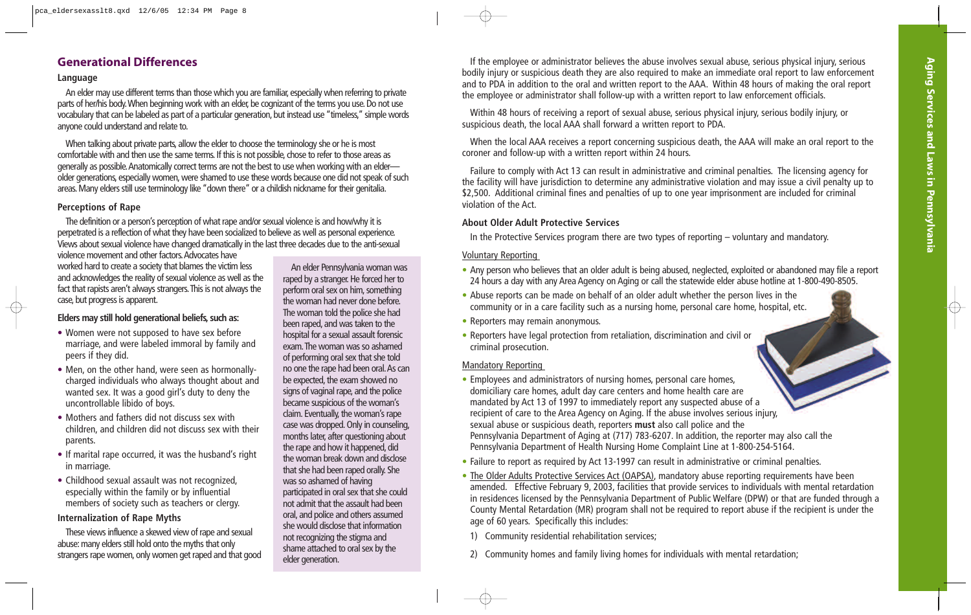# **Generational Differences**

#### **Language**

An elder may use different terms than those which you are familiar, especially when referring to private parts of her/his body.When beginning work with an elder, be cognizant of the terms you use. Do not use vocabulary that can be labeled as part of a particular generation, but instead use "timeless," simple words anyone could understand and relate to.

When talking about private parts, allow the elder to choose the terminology she or he is most comfortable with and then use the same terms. If this is not possible, chose to refer to those areas as generally as possible.Anatomically correct terms are not the best to use when working with an elder older generations, especially women, were shamed to use these words because one did not speak of such areas. Many elders still use terminology like "down there" or a childish nickname for their genitalia.

#### **Perceptions of Rape**

The definition or a person's perception of what rape and/or sexual violence is and how/why it is perpetrated is a reflection of what they have been socialized to believe as well as personal experience. Views about sexual violence have changed dramatically in the last three decades due to the anti-sexual

violence movement and other factors.Advocates have worked hard to create a society that blames the victim less and acknowledges the reality of sexual violence as well as the fact that rapists aren't always strangers.This is not always the case, but progress is apparent.

#### **Elders may still hold generational beliefs, such as:**

- Women were not supposed to have sex before marriage, and were labeled immoral by family and peers if they did.
- Men, on the other hand, were seen as hormonallycharged individuals who always thought about and wanted sex. It was a good girl's duty to deny the uncontrollable libido of boys.
- Mothers and fathers did not discuss sex with children, and children did not discuss sex with their parents.
- If marital rape occurred, it was the husband's right in marriage.
- Childhood sexual assault was not recognized, especially within the family or by influential members of society such as teachers or clergy.

#### **Internalization of Rape Myths**

These views influence a skewed view of rape and sexual abuse: many elders still hold onto the myths that only strangers rape women, only women get raped and that good

An elder Pennsylvania woman was raped by a stranger. He forced her to perform oral sex on him, something the woman had never done before. The woman told the police she had been raped, and was taken to the hospital for a sexual assault forensic exam.The woman was so ashamed of performing oral sex that she told no one the rape had been oral.As can be expected, the exam showed no signs of vaginal rape, and the police became suspicious of the woman's claim. Eventually, the woman's rape case was dropped. Only in counseling, months later, after questioning about the rape and how it happened, did the woman break down and disclose that she had been raped orally. She was so ashamed of having participated in oral sex that she could not admit that the assault had been oral, and police and others assumed she would disclose that information not recognizing the stigma and shame attached to oral sex by the elder generation.

If the employee or administrator believes the abuse involves sexual abuse, serious physical injury, serious bodily injury or suspicious death they are also required to make an immediate oral report to law enforcement and to PDA in addition to the oral and written report to the AAA. Within 48 hours of making the oral report the employee or administrator shall follow-up with a written report to law enforcement officials.

Within 48 hours of receiving a report of sexual abuse, serious physical injury, serious bodily injury, or suspicious death, the local AAA shall forward a written report to PDA.

When the local AAA receives a report concerning suspicious death, the AAA will make an oral report to the coroner and follow-up with a written report within 24 hours.

Failure to comply with Act 13 can result in administrative and criminal penalties. The licensing agency for the facility will have jurisdiction to determine any administrative violation and may issue a civil penalty up to \$2,500. Additional criminal fines and penalties of up to one year imprisonment are included for criminal violation of the Act.

#### **About Older Adult Protective Services**

In the Protective Services program there are two types of reporting – voluntary and mandatory.

#### Voluntary Reporting

- Any person who believes that an older adult is being abused, neglected, exploited or abandoned may file a report 24 hours a day with any Area Agency on Aging or call the statewide elder abuse hotline at 1-800-490-8505.
- Abuse reports can be made on behalf of an older adult whether the person lives in the community or in a care facility such as a nursing home, personal care home, hospital, etc.
- Reporters may remain anonymous.
- Reporters have legal protection from retaliation, discrimination and civil or criminal prosecution.

#### Mandatory Reporting

- Employees and administrators of nursing homes, personal care homes, domiciliary care homes, adult day care centers and home health care are mandated by Act 13 of 1997 to immediately report any suspected abuse of a recipient of care to the Area Agency on Aging. If the abuse involves serious injury, sexual abuse or suspicious death, reporters **must** also call police and the Pennsylvania Department of Aging at (717) 783-6207. In addition, the reporter may also call the Pennsylvania Department of Health Nursing Home Complaint Line at 1-800-254-5164.
- Failure to report as required by Act 13-1997 can result in administrative or criminal penalties.
- The Older Adults Protective Services Act (OAPSA), mandatory abuse reporting requirements have been amended. Effective February 9, 2003, facilities that provide services to individuals with mental retardation in residences licensed by the Pennsylvania Department of Public Welfare (DPW) or that are funded through a County Mental Retardation (MR) program shall not be required to report abuse if the recipient is under the age of 60 years. Specifically this includes:
- 1) Community residential rehabilitation services;
- 2) Community homes and family living homes for individuals with mental retardation;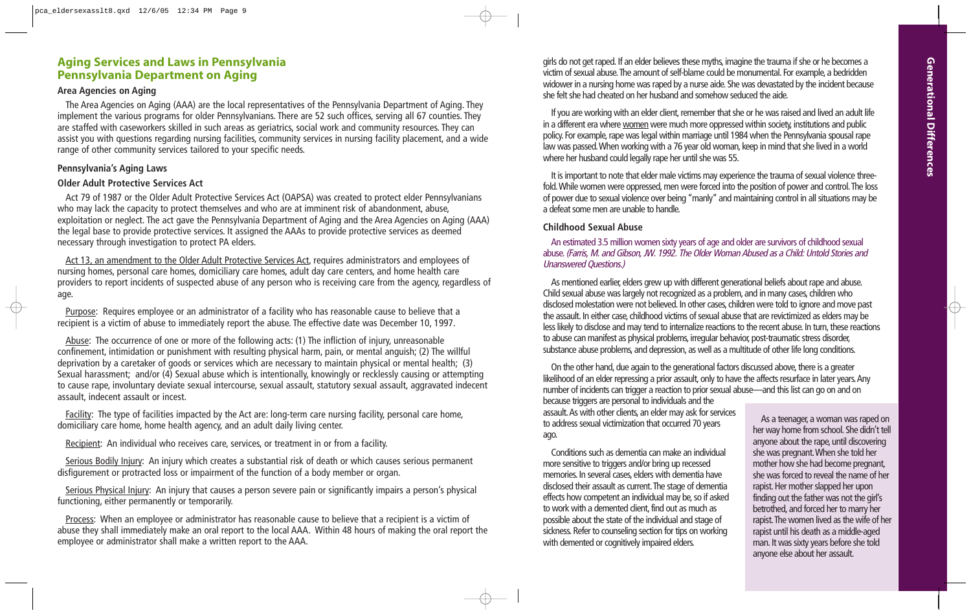#### **Aging Services and Laws in Pennsylvania Pennsylvania Department on Aging**

#### **Area Agencies on Aging**

The Area Agencies on Aging (AAA) are the local representatives of the Pennsylvania Department of Aging. They implement the various programs for older Pennsylvanians. There are 52 such offices, serving all 67 counties. They are staffed with caseworkers skilled in such areas as geriatrics, social work and community resources. They can assist you with questions regarding nursing facilities, community services in nursing facility placement, and a wide range of other community services tailored to your specific needs.

#### **Pennsylvania's Aging Laws**

#### **Older Adult Protective Services Act**

Act 79 of 1987 or the Older Adult Protective Services Act (OAPSA) was created to protect elder Pennsylvanians who may lack the capacity to protect themselves and who are at imminent risk of abandonment, abuse, exploitation or neglect. The act gave the Pennsylvania Department of Aging and the Area Agencies on Aging (AAA) the legal base to provide protective services. It assigned the AAAs to provide protective services as deemed necessary through investigation to protect PA elders.

Act 13, an amendment to the Older Adult Protective Services Act, requires administrators and employees of nursing homes, personal care homes, domiciliary care homes, adult day care centers, and home health care providers to report incidents of suspected abuse of any person who is receiving care from the agency, regardless of age.

Purpose: Requires employee or an administrator of a facility who has reasonable cause to believe that a recipient is a victim of abuse to immediately report the abuse. The effective date was December 10, 1997.

Abuse: The occurrence of one or more of the following acts: (1) The infliction of injury, unreasonable confinement, intimidation or punishment with resulting physical harm, pain, or mental anguish; (2) The willful deprivation by a caretaker of goods or services which are necessary to maintain physical or mental health; (3) Sexual harassment; and/or (4) Sexual abuse which is intentionally, knowingly or recklessly causing or attempting to cause rape, involuntary deviate sexual intercourse, sexual assault, statutory sexual assault, aggravated indecent assault, indecent assault or incest.

Facility: The type of facilities impacted by the Act are: long-term care nursing facility, personal care home, domiciliary care home, home health agency, and an adult daily living center.

Recipient: An individual who receives care, services, or treatment in or from a facility.

Serious Bodily Injury: An injury which creates a substantial risk of death or which causes serious permanent disfigurement or protracted loss or impairment of the function of a body member or organ.

Serious Physical Injury: An injury that causes a person severe pain or significantly impairs a person's physical functioning, either permanently or temporarily.

Process: When an employee or administrator has reasonable cause to believe that a recipient is a victim of abuse they shall immediately make an oral report to the local AAA. Within 48 hours of making the oral report the employee or administrator shall make a written report to the AAA.

girls do not get raped. If an elder believes these myths, imagine the trauma if she or he becomes a victim of sexual abuse.The amount of self-blame could be monumental. For example, a bedridden widower in a nursing home was raped by a nurse aide. She was devastated by the incident because she felt she had cheated on her husband and somehow seduced the aide.

If you are working with an elder client, remember that she or he was raised and lived an adult life in a different era where women were much more oppressed within society, institutions and public policy. For example, rape was legal within marriage until 1984 when the Pennsylvania spousal rape law was passed.When working with a 76 year old woman, keep in mind that she lived in a world where her husband could legally rape her until she was 55.

It is important to note that elder male victims may experience the trauma of sexual violence threefold.While women were oppressed, men were forced into the position of power and control.The loss of power due to sexual violence over being "manly" and maintaining control in all situations may be a defeat some men are unable to handle.

#### **Childhood Sexual Abuse**

An estimated 3.5 million women sixty years of age and older are survivors of childhood sexual abuse.(Farris, M. and Gibson, JW. 1992. The Older Woman Abused as a Child: Untold Stories and Unanswered Questions.)

As mentioned earlier, elders grew up with different generational beliefs about rape and abuse. Child sexual abuse was largely not recognized as a problem, and in many cases, children who disclosed molestation were not believed. In other cases, children were told to ignore and move past the assault. In either case, childhood victims of sexual abuse that are revictimized as elders may be less likely to disclose and may tend to internalize reactions to the recent abuse. In turn, these reactions to abuse can manifest as physical problems, irregular behavior, post-traumatic stress disorder, substance abuse problems, and depression, as well as a multitude of other life long conditions.

On the other hand, due again to the generational factors discussed above, there is a greater likelihood of an elder repressing a prior assault, only to have the affects resurface in later years.Any number of incidents can trigger a reaction to prior sexual abuse—and this list can go on and on

because triggers are personal to individuals and the assault.As with other clients, an elder may ask for services to address sexual victimization that occurred 70 years ago.

Conditions such as dementia can make an individual more sensitive to triggers and/or bring up recessed memories. In several cases, elders with dementia have disclosed their assault as current.The stage of dementia effects how competent an individual may be, so if asked to work with a demented client, find out as much as possible about the state of the individual and stage of sickness. Refer to counseling section for tips on working with demented or cognitively impaired elders.

As a teenager, a woman was raped on her way home from school. She didn't tell anyone about the rape, until discovering she was pregnant.When she told her mother how she had become pregnant, she was forced to reveal the name of her rapist. Her mother slapped her upon finding out the father was not the girl's betrothed, and forced her to marry her rapist.The women lived as the wife of her rapist until his death as a middle-aged man. It was sixty years before she told anyone else about her assault.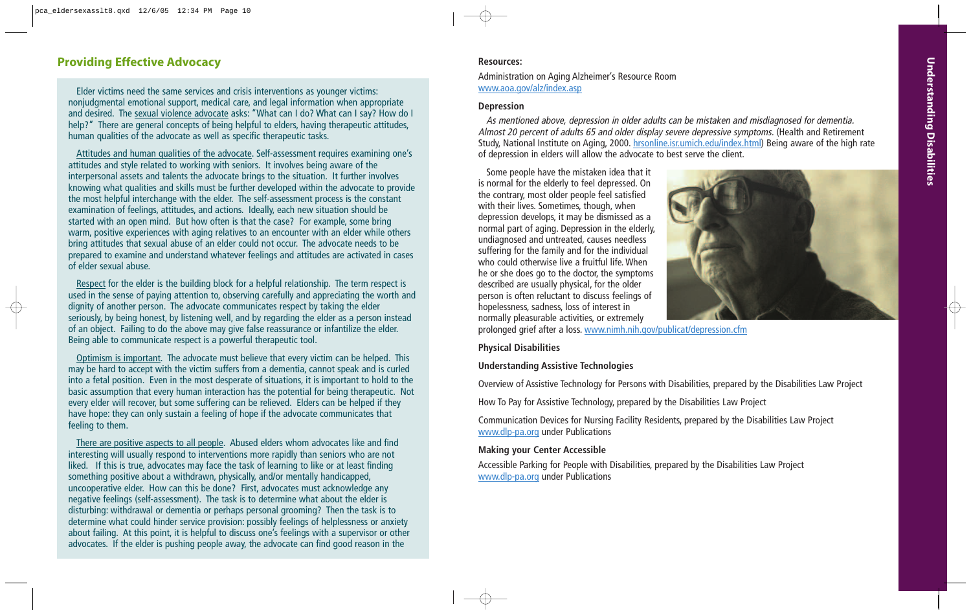# **Providing Effective Advocacy Resources: Resources: Resources:**

Elder victims need the same services and crisis interventions as younger victims: nonjudgmental emotional support, medical care, and legal information when appropriate and desired. The sexual violence advocate asks: "What can I do? What can I say? How do I help?" There are general concepts of being helpful to elders, having therapeutic attitudes, human qualities of the advocate as well as specific therapeutic tasks.

Attitudes and human qualities of the advocate. Self-assessment requires examining one's attitudes and style related to working with seniors. It involves being aware of the interpersonal assets and talents the advocate brings to the situation. It further involves knowing what qualities and skills must be further developed within the advocate to provide the most helpful interchange with the elder. The self-assessment process is the constant examination of feelings, attitudes, and actions. Ideally, each new situation should be started with an open mind. But how often is that the case? For example, some bring warm, positive experiences with aging relatives to an encounter with an elder while others bring attitudes that sexual abuse of an elder could not occur. The advocate needs to be prepared to examine and understand whatever feelings and attitudes are activated in cases of elder sexual abuse.

Respect for the elder is the building block for a helpful relationship. The term respect is used in the sense of paying attention to, observing carefully and appreciating the worth and dignity of another person. The advocate communicates respect by taking the elder seriously, by being honest, by listening well, and by regarding the elder as a person instead of an object. Failing to do the above may give false reassurance or infantilize the elder. Being able to communicate respect is a powerful therapeutic tool.

Optimism is important. The advocate must believe that every victim can be helped. This may be hard to accept with the victim suffers from a dementia, cannot speak and is curled into a fetal position. Even in the most desperate of situations, it is important to hold to the basic assumption that every human interaction has the potential for being therapeutic. Not every elder will recover, but some suffering can be relieved. Elders can be helped if they have hope: they can only sustain a feeling of hope if the advocate communicates that feeling to them.

There are positive aspects to all people. Abused elders whom advocates like and find interesting will usually respond to interventions more rapidly than seniors who are not liked. If this is true, advocates may face the task of learning to like or at least finding something positive about a withdrawn, physically, and/or mentally handicapped, uncooperative elder. How can this be done? First, advocates must acknowledge any negative feelings (self-assessment). The task is to determine what about the elder is disturbing: withdrawal or dementia or perhaps personal grooming? Then the task is to determine what could hinder service provision: possibly feelings of helplessness or anxiety about failing. At this point, it is helpful to discuss one's feelings with a supervisor or other advocates. If the elder is pushing people away, the advocate can find good reason in the

Administration on Aging Alzheimer's Resource Room www.aoa.gov/alz/index.asp

#### **Depression**

As mentioned above, depression in older adults can be mistaken and misdiagnosed for dementia. Almost 20 percent of adults 65 and older display severe depressive symptoms. (Health and Retirement Study, National Institute on Aging, 2000. hrsonline.isr.umich.edu/index.html) Being aware of the high rate of depression in elders will allow the advocate to best serve the client.

Some people have the mistaken idea that it is normal for the elderly to feel depressed. On the contrary, most older people feel satisfied with their lives. Sometimes, though, when depression develops, it may be dismissed as a normal part of aging. Depression in the elderly, undiagnosed and untreated, causes needless suffering for the family and for the individual who could otherwise live a fruitful life. When he or she does go to the doctor, the symptoms described are usually physical, for the older person is often reluctant to discuss feelings of hopelessness, sadness, loss of interest in normally pleasurable activities, or extremely



prolonged grief after a loss. www.nimh.nih.gov/publicat/depression.cfm

#### **Physical Disabilities**

#### **Understanding Assistive Technologies**

Overview of Assistive Technology for Persons with Disabilities, prepared by the Disabilities Law Project

How To Pay for Assistive Technology, prepared by the Disabilities Law Project

Communication Devices for Nursing Facility Residents, prepared by the Disabilities Law Project www.dlp-pa.org under Publications

#### **Making your Center Accessible**

Accessible Parking for People with Disabilities, prepared by the Disabilities Law Project www.dlp-pa.org under Publications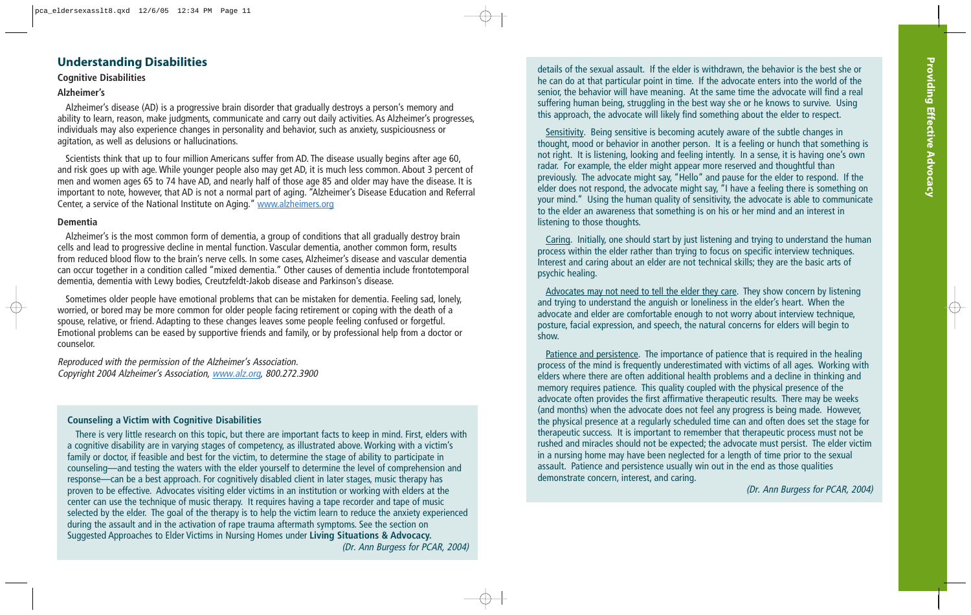# **Understanding Disabilities**

#### **Cognitive Disabilities**

#### **Alzheimer's**

Alzheimer's disease (AD) is a progressive brain disorder that gradually destroys a person's memory and ability to learn, reason, make judgments, communicate and carry out daily activities. As Alzheimer's progresses, individuals may also experience changes in personality and behavior, such as anxiety, suspiciousness or agitation, as well as delusions or hallucinations.

Scientists think that up to four million Americans suffer from AD. The disease usually begins after age 60, and risk goes up with age. While younger people also may get AD, it is much less common. About 3 percent of men and women ages 65 to 74 have AD, and nearly half of those age 85 and older may have the disease. It is important to note, however, that AD is not a normal part of aging. "Alzheimer's Disease Education and Referral Center, a service of the National Institute on Aging." www.alzheimers.org

#### **Dementia**

Alzheimer's is the most common form of dementia, a group of conditions that all gradually destroy brain cells and lead to progressive decline in mental function. Vascular dementia, another common form, results from reduced blood flow to the brain's nerve cells. In some cases, Alzheimer's disease and vascular dementia can occur together in a condition called "mixed dementia." Other causes of dementia include frontotemporal dementia, dementia with Lewy bodies, Creutzfeldt-Jakob disease and Parkinson's disease.

Sometimes older people have emotional problems that can be mistaken for dementia. Feeling sad, lonely, worried, or bored may be more common for older people facing retirement or coping with the death of a spouse, relative, or friend. Adapting to these changes leaves some people feeling confused or forgetful. Emotional problems can be eased by supportive friends and family, or by professional help from a doctor or counselor.

Reproduced with the permission of the Alzheimer's Association. Copyright 2004 Alzheimer's Association, www.alz.org, 800.272.3900

#### **Counseling a Victim with Cognitive Disabilities**

There is very little research on this topic, but there are important facts to keep in mind. First, elders with a cognitive disability are in varying stages of competency, as illustrated above. Working with a victim's family or doctor, if feasible and best for the victim, to determine the stage of ability to participate in counseling—and testing the waters with the elder yourself to determine the level of comprehension and response—can be a best approach. For cognitively disabled client in later stages, music therapy has proven to be effective. Advocates visiting elder victims in an institution or working with elders at the center can use the technique of music therapy. It requires having a tape recorder and tape of music selected by the elder. The goal of the therapy is to help the victim learn to reduce the anxiety experienced during the assault and in the activation of rape trauma aftermath symptoms. See the section on Suggested Approaches to Elder Victims in Nursing Homes under **Living Situations & Advocacy.** (Dr. Ann Burgess for PCAR, 2004) details of the sexual assault. If the elder is withdrawn, the behavior is the best she or he can do at that particular point in time. If the advocate enters into the world of the senior, the behavior will have meaning. At the same time the advocate will find a real suffering human being, struggling in the best way she or he knows to survive. Using this approach, the advocate will likely find something about the elder to respect.

Sensitivity. Being sensitive is becoming acutely aware of the subtle changes in thought, mood or behavior in another person. It is a feeling or hunch that something is not right. It is listening, looking and feeling intently. In a sense, it is having one's own radar. For example, the elder might appear more reserved and thoughtful than previously. The advocate might say, "Hello" and pause for the elder to respond. If the elder does not respond, the advocate might say, "I have a feeling there is something on your mind." Using the human quality of sensitivity, the advocate is able to communicate to the elder an awareness that something is on his or her mind and an interest in listening to those thoughts.

Caring. Initially, one should start by just listening and trying to understand the human process within the elder rather than trying to focus on specific interview techniques. Interest and caring about an elder are not technical skills; they are the basic arts of psychic healing.

Advocates may not need to tell the elder they care. They show concern by listening and trying to understand the anguish or loneliness in the elder's heart. When the advocate and elder are comfortable enough to not worry about interview technique, posture, facial expression, and speech, the natural concerns for elders will begin to show.

Patience and persistence. The importance of patience that is required in the healing process of the mind is frequently underestimated with victims of all ages. Working with elders where there are often additional health problems and a decline in thinking and memory requires patience. This quality coupled with the physical presence of the advocate often provides the first affirmative therapeutic results. There may be weeks (and months) when the advocate does not feel any progress is being made. However, the physical presence at a regularly scheduled time can and often does set the stage for therapeutic success. It is important to remember that therapeutic process must not be rushed and miracles should not be expected; the advocate must persist. The elder victim in a nursing home may have been neglected for a length of time prior to the sexual assault. Patience and persistence usually win out in the end as those qualities demonstrate concern, interest, and caring.

(Dr. Ann Burgess for PCAR, 2004)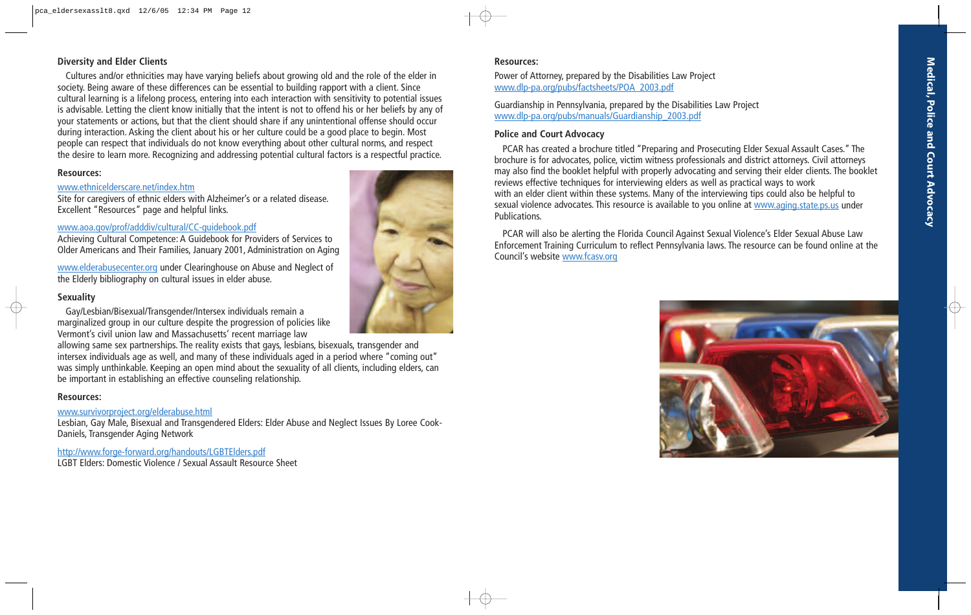# **Medical, Police and Court Advocac y**

#### **Diversity and Elder Clients**

Cultures and/or ethnicities may have varying beliefs about growing old and the role of the elder in society. Being aware of these differences can be essential to building rapport with a client. Since cultural learning is a lifelong process, entering into each interaction with sensitivity to potential issues is advisable. Letting the client know initially that the intent is not to offend his or her beliefs by any of your statements or actions, but that the client should share if any unintentional offense should occur during interaction. Asking the client about his or her culture could be a good place to begin. Most people can respect that individuals do not know everything about other cultural norms, and respect the desire to learn more. Recognizing and addressing potential cultural factors is a respectful practice.

#### **Resources:**

#### www.ethnicelderscare.net/index.htm

Site for caregivers of ethnic elders with Alzheimer's or a related disease. Excellent "Resources" page and helpful links.

#### www.aoa.gov/prof/adddiv/cultural/CC-guidebook.pdf

Achieving Cultural Competence: A Guidebook for Providers of Services to Older Americans and Their Families, January 2001, Administration on Aging

www.elderabusecenter.org under Clearinghouse on Abuse and Neglect of the Elderly bibliography on cultural issues in elder abuse.

#### **Sexuality**

Gay/Lesbian/Bisexual/Transgender/Intersex individuals remain a marginalized group in our culture despite the progression of policies like Vermont's civil union law and Massachusetts' recent marriage law

allowing same sex partnerships. The reality exists that gays, lesbians, bisexuals, transgender and intersex individuals age as well, and many of these individuals aged in a period where "coming out" was simply unthinkable. Keeping an open mind about the sexuality of all clients, including elders, can be important in establishing an effective counseling relationship.

#### **Resources:**

#### www.survivorproject.org/elderabuse.html

Lesbian, Gay Male, Bisexual and Transgendered Elders: Elder Abuse and Neglect Issues By Loree Cook-Daniels, Transgender Aging Network

http://www.forge-forward.org/handouts/LGBTElders.pdf

LGBT Elders: Domestic Violence / Sexual Assault Resource Sheet

#### **Resources:**

Power of Attorney, prepared by the Disabilities Law Project www.dlp-pa.org/pubs/factsheets/POA\_2003.pdf

Guardianship in Pennsylvania, prepared by the Disabilities Law Project www.dlp-pa.org/pubs/manuals/Guardianship\_2003.pdf

#### **Police and Court Advocacy**

PCAR has created a brochure titled "Preparing and Prosecuting Elder Sexual Assault Cases." The brochure is for advocates, police, victim witness professionals and district attorneys. Civil attorneys may also find the booklet helpful with properly advocating and serving their elder clients. The booklet reviews effective techniques for interviewing elders as well as practical ways to work with an elder client within these systems. Many of the interviewing tips could also be helpful to sexual violence advocates. This resource is available to you online at www.aging.state.ps.us under Publications.

PCAR will also be alerting the Florida Council Against Sexual Violence's Elder Sexual Abuse Law Enforcement Training Curriculum to reflect Pennsylvania laws. The resource can be found online at the Council's website www.fcasv.org



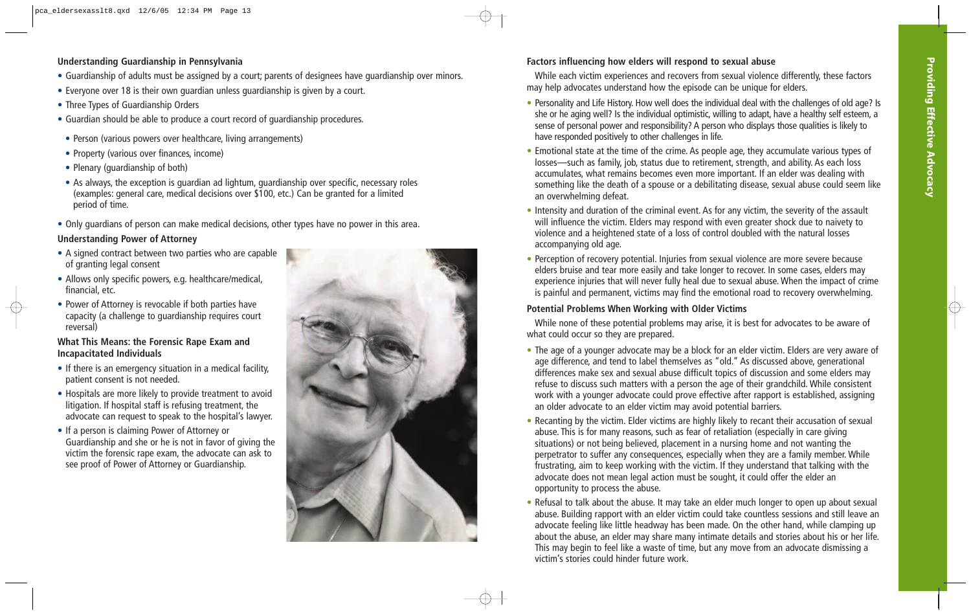# **Understanding Guardianship in Pennsylvania**

- Guardianship of adults must be assigned by a court; parents of designees have guardianship over minors.
- Everyone over 18 is their own guardian unless guardianship is given by a court.
- Three Types of Guardianship Orders
- Guardian should be able to produce a court record of guardianship procedures.
- Person (various powers over healthcare, living arrangements)
- Property (various over finances, income)
- Plenary (guardianship of both)
- As always, the exception is guardian ad lightum, guardianship over specific, necessary roles (examples: general care, medical decisions over \$100, etc.) Can be granted for a limited period of time.
- Only guardians of person can make medical decisions, other types have no power in this area.

# **Understanding Power of Attorney**

- A signed contract between two parties who are capable of granting legal consent
- Allows only specific powers, e.g. healthcare/medical, financial, etc.
- Power of Attorney is revocable if both parties have capacity (a challenge to guardianship requires court reversal)

## **What This Means: the Forensic Rape Exam and Incapacitated Individuals**

- If there is an emergency situation in a medical facility, patient consent is not needed.
- Hospitals are more likely to provide treatment to avoid litigation. If hospital staff is refusing treatment, the advocate can request to speak to the hospital's lawyer.
- If a person is claiming Power of Attorney or Guardianship and she or he is not in favor of giving the victim the forensic rape exam, the advocate can ask to see proof of Power of Attorney or Guardianship.



# **Factors influencing how elders will respond to sexual abuse**

While each victim experiences and recovers from sexual violence differently, these factors may help advocates understand how the episode can be unique for elders.

- Personality and Life History. How well does the individual deal with the challenges of old age? Is she or he aging well? Is the individual optimistic, willing to adapt, have a healthy self esteem, a sense of personal power and responsibility? A person who displays those qualities is likely to have responded positively to other challenges in life.
- Emotional state at the time of the crime. As people age, they accumulate various types of losses—such as family, job, status due to retirement, strength, and ability. As each loss accumulates, what remains becomes even more important. If an elder was dealing with something like the death of a spouse or a debilitating disease, sexual abuse could seem like an overwhelming defeat.
- Intensity and duration of the criminal event. As for any victim, the severity of the assault will influence the victim. Elders may respond with even greater shock due to naivety to violence and a heightened state of a loss of control doubled with the natural losses accompanying old age.
- Perception of recovery potential. Injuries from sexual violence are more severe because elders bruise and tear more easily and take longer to recover. In some cases, elders may experience injuries that will never fully heal due to sexual abuse. When the impact of crime is painful and permanent, victims may find the emotional road to recovery overwhelming.

# **Potential Problems When Working with Older Victims**

While none of these potential problems may arise, it is best for advocates to be aware of what could occur so they are prepared.

- The age of a younger advocate may be a block for an elder victim. Elders are very aware of age difference, and tend to label themselves as "old." As discussed above, generational differences make sex and sexual abuse difficult topics of discussion and some elders may refuse to discuss such matters with a person the age of their grandchild. While consistent work with a younger advocate could prove effective after rapport is established, assigning an older advocate to an elder victim may avoid potential barriers.
- Recanting by the victim. Elder victims are highly likely to recant their accusation of sexual abuse. This is for many reasons, such as fear of retaliation (especially in care giving situations) or not being believed, placement in a nursing home and not wanting the perpetrator to suffer any consequences, especially when they are a family member. While frustrating, aim to keep working with the victim. If they understand that talking with the advocate does not mean legal action must be sought, it could offer the elder an opportunity to process the abuse.
- Refusal to talk about the abuse. It may take an elder much longer to open up about sexual abuse. Building rapport with an elder victim could take countless sessions and still leave an advocate feeling like little headway has been made. On the other hand, while clamping up about the abuse, an elder may share many intimate details and stories about his or her life. This may begin to feel like a waste of time, but any move from an advocate dismissing a victim's stories could hinder future work.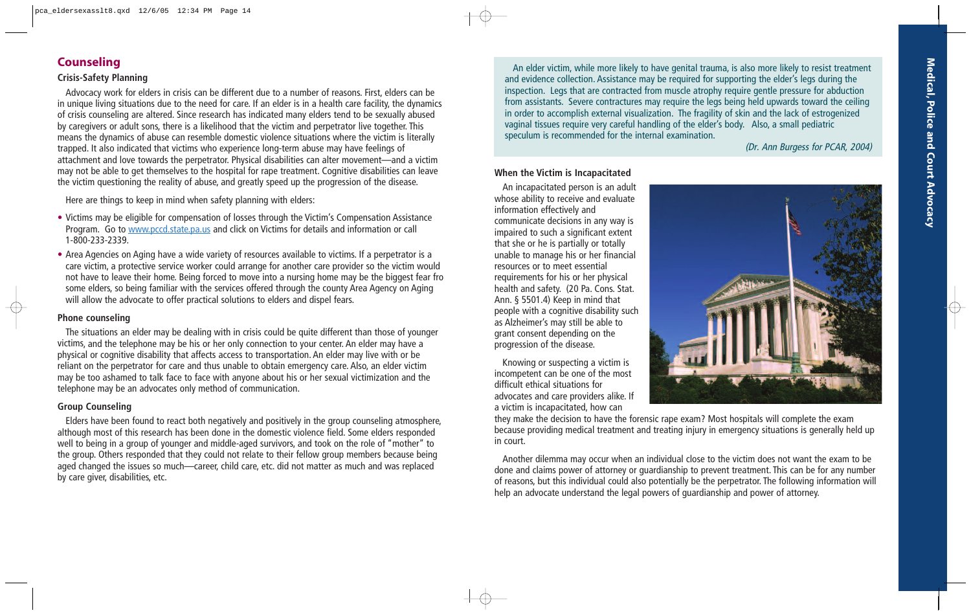# **Counseling**

#### **Crisis-Safety Planning**

Advocacy work for elders in crisis can be different due to a number of reasons. First, elders can be in unique living situations due to the need for care. If an elder is in a health care facility, the dynamics of crisis counseling are altered. Since research has indicated many elders tend to be sexually abused by caregivers or adult sons, there is a likelihood that the victim and perpetrator live together. This means the dynamics of abuse can resemble domestic violence situations where the victim is literally trapped. It also indicated that victims who experience long-term abuse may have feelings of attachment and love towards the perpetrator. Physical disabilities can alter movement—and a victim may not be able to get themselves to the hospital for rape treatment. Cognitive disabilities can leave the victim questioning the reality of abuse, and greatly speed up the progression of the disease.

Here are things to keep in mind when safety planning with elders:

- Victims may be eligible for compensation of losses through the Victim's Compensation Assistance Program. Go to www.pccd.state.pa.us and click on Victims for details and information or call 1-800-233-2339.
- Area Agencies on Aging have a wide variety of resources available to victims. If a perpetrator is a care victim, a protective service worker could arrange for another care provider so the victim would not have to leave their home. Being forced to move into a nursing home may be the biggest fear fro some elders, so being familiar with the services offered through the county Area Agency on Aging will allow the advocate to offer practical solutions to elders and dispel fears.

#### **Phone counseling**

The situations an elder may be dealing with in crisis could be quite different than those of younger victims, and the telephone may be his or her only connection to your center. An elder may have a physical or cognitive disability that affects access to transportation. An elder may live with or be reliant on the perpetrator for care and thus unable to obtain emergency care. Also, an elder victim may be too ashamed to talk face to face with anyone about his or her sexual victimization and the telephone may be an advocates only method of communication.

## **Group Counseling**

Elders have been found to react both negatively and positively in the group counseling atmosphere, although most of this research has been done in the domestic violence field. Some elders responded well to being in a group of younger and middle-aged survivors, and took on the role of "mother" to the group. Others responded that they could not relate to their fellow group members because being aged changed the issues so much—career, child care, etc. did not matter as much and was replaced by care giver, disabilities, etc.

An elder victim, while more likely to have genital trauma, is also more likely to resist treatment and evidence collection. Assistance may be required for supporting the elder's legs during the inspection. Legs that are contracted from muscle atrophy require gentle pressure for abduction from assistants. Severe contractures may require the legs being held upwards toward the ceiling in order to accomplish external visualization. The fragility of skin and the lack of estrogenized vaginal tissues require very careful handling of the elder's body. Also, a small pediatric speculum is recommended for the internal examination.

(Dr. Ann Burgess for PCAR, 2004)

#### **When the Victim is Incapacitated**

An incapacitated person is an adult whose ability to receive and evaluate information effectively and communicate decisions in any way is impaired to such a significant extent that she or he is partially or totally unable to manage his or her financial resources or to meet essential requirements for his or her physical health and safety. (20 Pa. Cons. Stat. Ann. § 5501.4) Keep in mind that people with a cognitive disability such as Alzheimer's may still be able to grant consent depending on the progression of the disease.

Knowing or suspecting a victim is incompetent can be one of the most difficult ethical situations for advocates and care providers alike. If a victim is incapacitated, how can



they make the decision to have the forensic rape exam? Most hospitals will complete the exam because providing medical treatment and treating injury in emergency situations is generally held up in court.

Another dilemma may occur when an individual close to the victim does not want the exam to be done and claims power of attorney or guardianship to prevent treatment. This can be for any number of reasons, but this individual could also potentially be the perpetrator. The following information will help an advocate understand the legal powers of guardianship and power of attorney.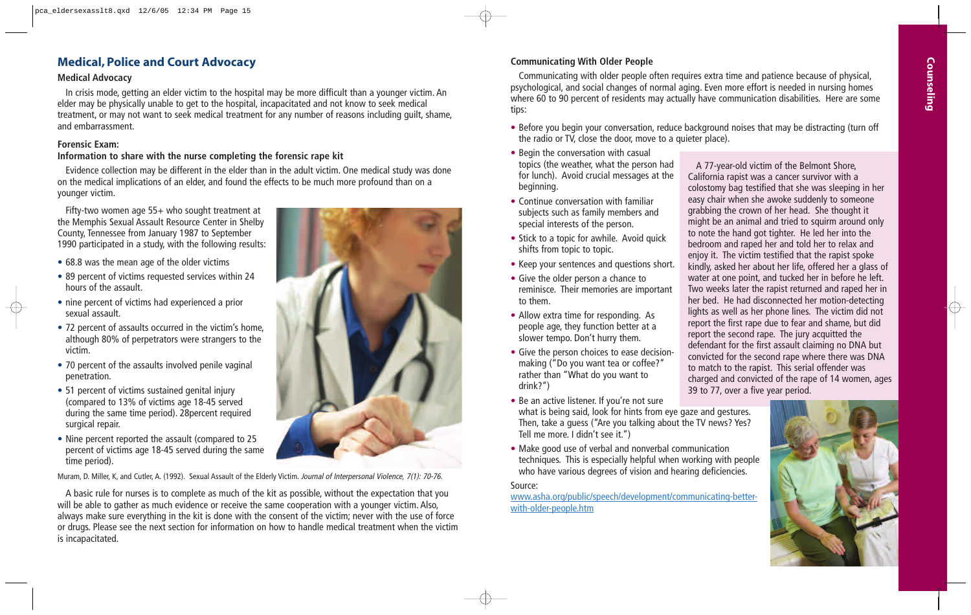# **Medical, Police and Court Advocacy**

#### **Medical Advocacy**

In crisis mode, getting an elder victim to the hospital may be more difficult than a younger victim. An elder may be physically unable to get to the hospital, incapacitated and not know to seek medical treatment, or may not want to seek medical treatment for any number of reasons including guilt, shame, and embarrassment.

#### **Forensic Exam:**

#### **Information to share with the nurse completing the forensic rape kit**

Evidence collection may be different in the elder than in the adult victim. One medical study was done on the medical implications of an elder, and found the effects to be much more profound than on a younger victim.

Fifty-two women age 55+ who sought treatment at the Memphis Sexual Assault Resource Center in Shelby County, Tennessee from January 1987 to September 1990 participated in a study, with the following results:

- 68.8 was the mean age of the older victims
- 89 percent of victims requested services within 24 hours of the assault.
- nine percent of victims had experienced a prior sexual assault.
- 72 percent of assaults occurred in the victim's home, although 80% of perpetrators were strangers to the victim.
- 70 percent of the assaults involved penile vaginal penetration.
- 51 percent of victims sustained genital injury (compared to 13% of victims age 18-45 served during the same time period). 28percent required surgical repair.
- Nine percent reported the assault (compared to 25 percent of victims age 18-45 served during the same time period).

Muram, D. Miller, K, and Cutler, A. (1992). Sexual Assault of the Elderly Victim. Journal of Interpersonal Violence, 7(1): 70-76.

A basic rule for nurses is to complete as much of the kit as possible, without the expectation that you will be able to gather as much evidence or receive the same cooperation with a younger victim. Also, always make sure everything in the kit is done with the consent of the victim; never with the use of force or drugs. Please see the next section for information on how to handle medical treatment when the victim is incapacitated.



#### **Communicating With Older People**

Communicating with older people often requires extra time and patience because of physical, psychological, and social changes of normal aging. Even more effort is needed in nursing homes where 60 to 90 percent of residents may actually have communication disabilities. Here are some tips:

- Before you begin your conversation, reduce background noises that may be distracting (turn off the radio or TV, close the door, move to a quieter place).
- Begin the conversation with casual topics (the weather, what the person had for lunch). Avoid crucial messages at the beginning.
- Continue conversation with familiar subjects such as family members and special interests of the person.
- Stick to a topic for awhile. Avoid quick shifts from topic to topic.
- Keep your sentences and questions short.
- Give the older person a chance to reminisce. Their memories are important to them.
- Allow extra time for responding. As people age, they function better at a slower tempo. Don't hurry them.
- Give the person choices to ease decisionmaking ("Do you want tea or coffee?" rather than "What do you want to drink?")
- Be an active listener. If you're not sure what is being said, look for hints from eye gaze and gestures. Then, take a guess ("Are you talking about the TV news? Yes? Tell me more. I didn't see it.")
- Make good use of verbal and nonverbal communication techniques. This is especially helpful when working with people who have various degrees of vision and hearing deficiencies.

#### Source:

www.asha.org/public/speech/development/communicating-betterwith-older-people.htm